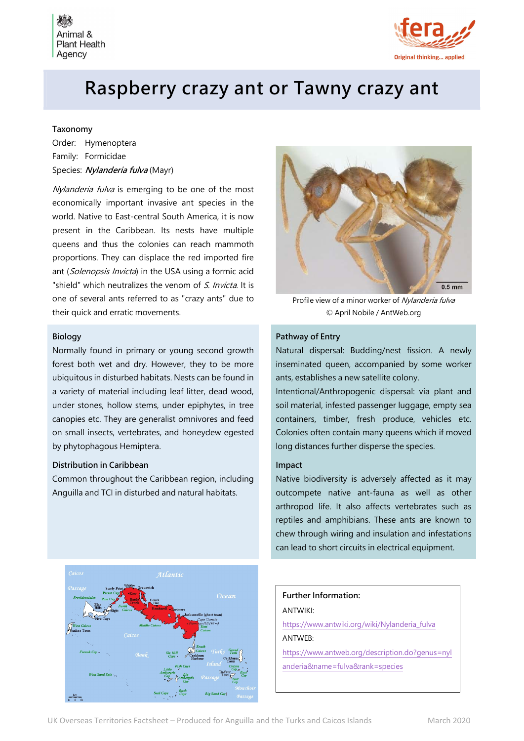



# Raspberry crazy ant or Tawny crazy ant

#### Taxonomy

Order: Hymenoptera Family: Formicidae Species: Nylanderia fulva (Mayr)

Nylanderia fulva is emerging to be one of the most economically important invasive ant species in the world. Native to East-central South America, it is now present in the Caribbean. Its nests have multiple queens and thus the colonies can reach mammoth proportions. They can displace the red imported fire ant (Solenopsis Invicta) in the USA using a formic acid "shield" which neutralizes the venom of S. Invicta. It is one of several ants referred to as "crazy ants" due to their quick and erratic movements.

#### Biology

Normally found in primary or young second growth forest both wet and dry. However, they to be more ubiquitous in disturbed habitats. Nests can be found in a variety of material including leaf litter, dead wood, under stones, hollow stems, under epiphytes, in tree canopies etc. They are generalist omnivores and feed on small insects, vertebrates, and honeydew egested by phytophagous Hemiptera.

#### Distribution in Caribbean

Common throughout the Caribbean region, including Anguilla and TCI in disturbed and natural habitats.



Profile view of a minor worker of Nylanderia fulva © April Nobile / AntWeb.org

## Pathway of Entry

Natural dispersal: Budding/nest fission. A newly inseminated queen, accompanied by some worker ants, establishes a new satellite colony.

Intentional/Anthropogenic dispersal: via plant and soil material, infested passenger luggage, empty sea containers, timber, fresh produce, vehicles etc. Colonies often contain many queens which if moved long distances further disperse the species.

#### Impact

Native biodiversity is adversely affected as it may outcompete native ant-fauna as well as other arthropod life. It also affects vertebrates such as reptiles and amphibians. These ants are known to chew through wiring and insulation and infestations can lead to short circuits in electrical equipment.



# Further Information:

ANTWIKI:

https://www.antwiki.org/wiki/Nylanderia\_fulva ANTWEB:

https://www.antweb.org/description.do?genus=nyl anderia&name=fulva&rank=species